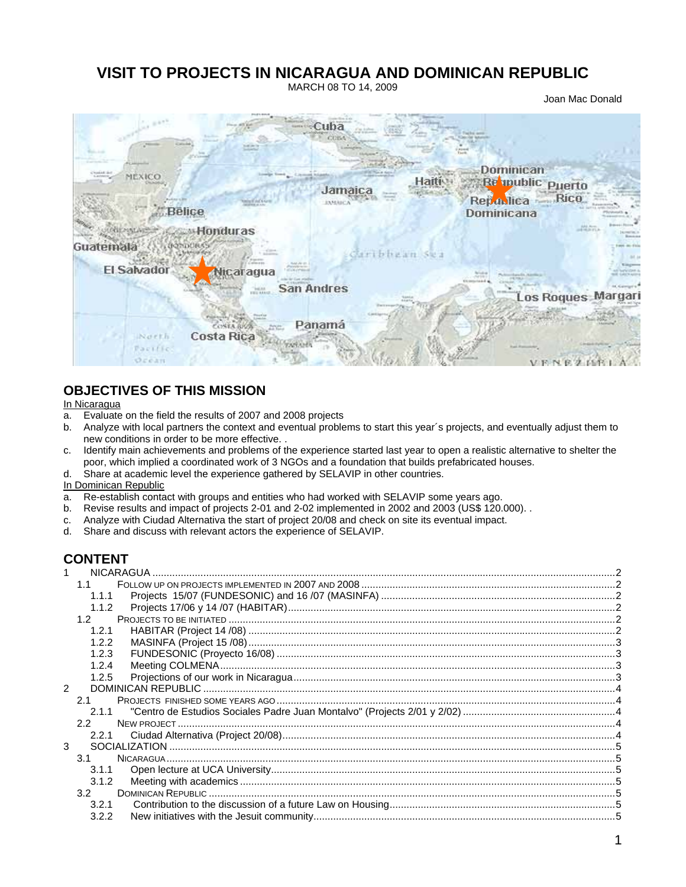# **VISIT TO PROJECTS IN NICARAGUA AND DOMINICAN REPUBLIC**

MARCH 08 TO 14, 2009

Joan Mac Donald



# **OBJECTIVES OF THIS MISSION**

#### In Nicaragua

- a. Evaluate on the field the results of 2007 and 2008 projects
- b. Analyze with local partners the context and eventual problems to start this year´s projects, and eventually adjust them to new conditions in order to be more effective. .
- c. Identify main achievements and problems of the experience started last year to open a realistic alternative to shelter the poor, which implied a coordinated work of 3 NGOs and a foundation that builds prefabricated houses.
- d. Share at academic level the experience gathered by SELAVIP in other countries.

#### In Dominican Republic

- a. Re-establish contact with groups and entities who had worked with SELAVIP some years ago.
- b. Revise results and impact of projects 2-01 and 2-02 implemented in 2002 and 2003 (US\$ 120.000). .
- c. Analyze with Ciudad Alternativa the start of project 20/08 and check on site its eventual impact.
- d. Share and discuss with relevant actors the experience of SELAVIP.

# **CONTENT**

|                      | 1.1              |  |
|----------------------|------------------|--|
|                      | 1.1.1            |  |
|                      | 1.1.2            |  |
|                      | 1.2 <sub>1</sub> |  |
|                      | 1.2.1            |  |
|                      | 1.2.2            |  |
|                      | 1.2.3            |  |
|                      | 1.2.4            |  |
|                      | 1.2.5            |  |
| $\mathcal{P} \equiv$ |                  |  |
|                      | 2.1              |  |
|                      | 2.1.1            |  |
|                      | $2.2^{\circ}$    |  |
|                      | 2.2.1            |  |
| 3                    |                  |  |
|                      | 3.1              |  |
|                      | 3.1.1            |  |
|                      | 3.1.2            |  |
|                      | 3.2 <sub>1</sub> |  |
|                      | 3.2.1            |  |
|                      | 3.2.2            |  |
|                      |                  |  |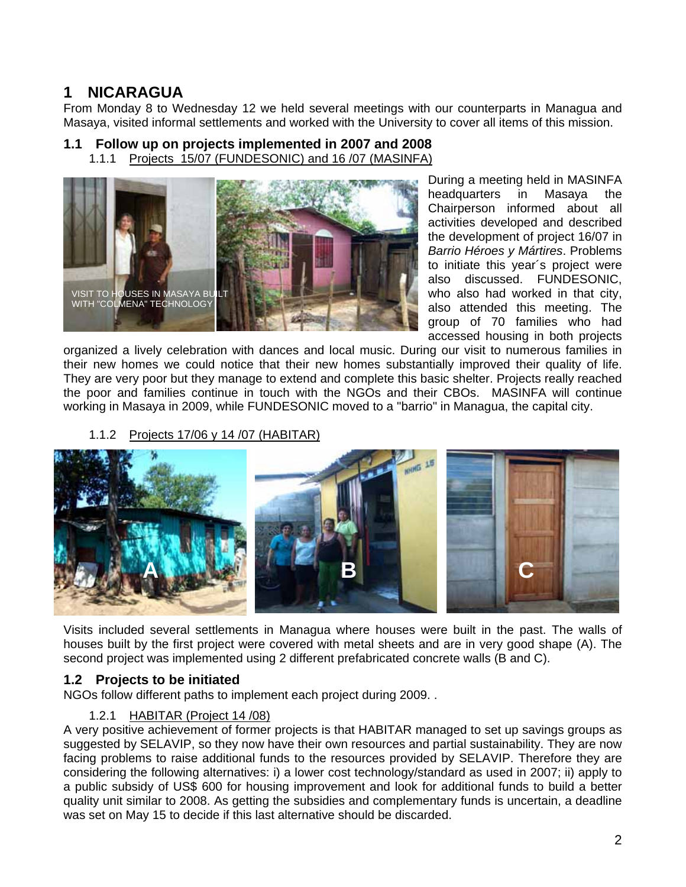# **1 NICARAGUA**

From Monday 8 to Wednesday 12 we held several meetings with our counterparts in Managua and Masaya, visited informal settlements and worked with the University to cover all items of this mission.

## **1.1 Follow up on projects implemented in 2007 and 2008**

1.1.1 Projects 15/07 (FUNDESONIC) and 16 /07 (MASINFA)



During a meeting held in MASINFA headquarters in Masaya the Chairperson informed about all activities developed and described the development of project 16/07 in *Barrio Héroes y Mártires*. Problems to initiate this year´s project were also discussed. FUNDESONIC, who also had worked in that city, also attended this meeting. The group of 70 families who had accessed housing in both projects

organized a lively celebration with dances and local music. During our visit to numerous families in their new homes we could notice that their new homes substantially improved their quality of life. They are very poor but they manage to extend and complete this basic shelter. Projects really reached the poor and families continue in touch with the NGOs and their CBOs. MASINFA will continue working in Masaya in 2009, while FUNDESONIC moved to a "barrio" in Managua, the capital city.

1.1.2 Projects 17/06 y 14 /07 (HABITAR)



Visits included several settlements in Managua where houses were built in the past. The walls of houses built by the first project were covered with metal sheets and are in very good shape (A). The second project was implemented using 2 different prefabricated concrete walls (B and C).

## **1.2 Projects to be initiated**

NGOs follow different paths to implement each project during 2009. .

## 1.2.1 HABITAR (Project 14 /08)

A very positive achievement of former projects is that HABITAR managed to set up savings groups as suggested by SELAVIP, so they now have their own resources and partial sustainability. They are now facing problems to raise additional funds to the resources provided by SELAVIP. Therefore they are considering the following alternatives: i) a lower cost technology/standard as used in 2007; ii) apply to a public subsidy of US\$ 600 for housing improvement and look for additional funds to build a better quality unit similar to 2008. As getting the subsidies and complementary funds is uncertain, a deadline was set on May 15 to decide if this last alternative should be discarded.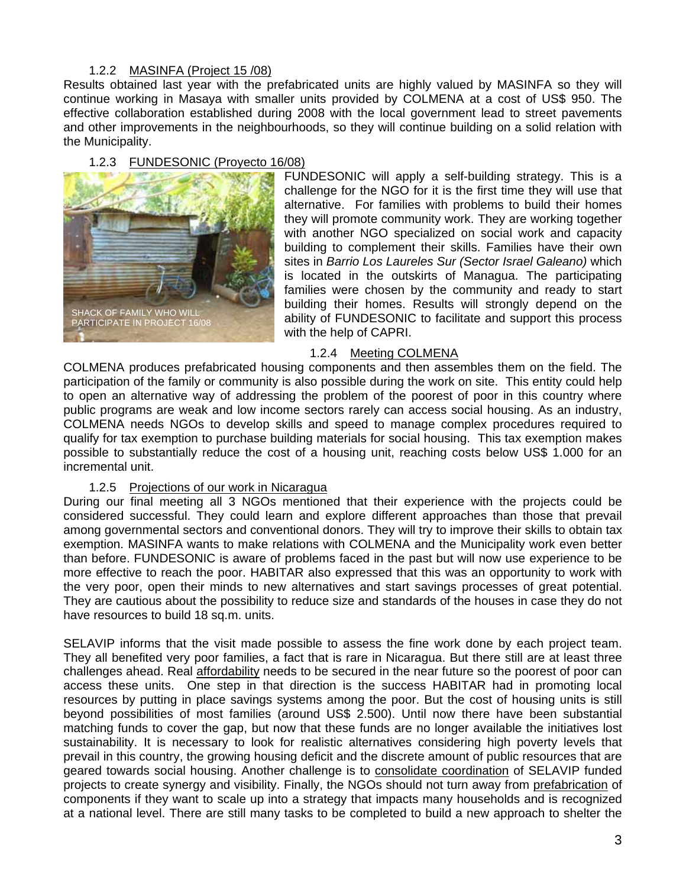### 1.2.2 MASINFA (Project 15 /08)

Results obtained last year with the prefabricated units are highly valued by MASINFA so they will continue working in Masaya with smaller units provided by COLMENA at a cost of US\$ 950. The effective collaboration established during 2008 with the local government lead to street pavements and other improvements in the neighbourhoods, so they will continue building on a solid relation with the Municipality.

### 1.2.3 FUNDESONIC (Proyecto 16/08)



FUNDESONIC will apply a self-building strategy. This is a challenge for the NGO for it is the first time they will use that alternative. For families with problems to build their homes they will promote community work. They are working together with another NGO specialized on social work and capacity building to complement their skills. Families have their own sites in *Barrio Los Laureles Sur (Sector Israel Galeano)* which is located in the outskirts of Managua. The participating families were chosen by the community and ready to start building their homes. Results will strongly depend on the ability of FUNDESONIC to facilitate and support this process with the help of CAPRI.

### 1.2.4 Meeting COLMENA

COLMENA produces prefabricated housing components and then assembles them on the field. The participation of the family or community is also possible during the work on site. This entity could help to open an alternative way of addressing the problem of the poorest of poor in this country where public programs are weak and low income sectors rarely can access social housing. As an industry, COLMENA needs NGOs to develop skills and speed to manage complex procedures required to qualify for tax exemption to purchase building materials for social housing. This tax exemption makes possible to substantially reduce the cost of a housing unit, reaching costs below US\$ 1.000 for an incremental unit.

### 1.2.5 Projections of our work in Nicaragua

During our final meeting all 3 NGOs mentioned that their experience with the projects could be considered successful. They could learn and explore different approaches than those that prevail among governmental sectors and conventional donors. They will try to improve their skills to obtain tax exemption. MASINFA wants to make relations with COLMENA and the Municipality work even better than before. FUNDESONIC is aware of problems faced in the past but will now use experience to be more effective to reach the poor. HABITAR also expressed that this was an opportunity to work with the very poor, open their minds to new alternatives and start savings processes of great potential. They are cautious about the possibility to reduce size and standards of the houses in case they do not have resources to build 18 sq.m. units.

SELAVIP informs that the visit made possible to assess the fine work done by each project team. They all benefited very poor families, a fact that is rare in Nicaragua. But there still are at least three challenges ahead. Real affordability needs to be secured in the near future so the poorest of poor can access these units. One step in that direction is the success HABITAR had in promoting local resources by putting in place savings systems among the poor. But the cost of housing units is still beyond possibilities of most families (around US\$ 2.500). Until now there have been substantial matching funds to cover the gap, but now that these funds are no longer available the initiatives lost sustainability. It is necessary to look for realistic alternatives considering high poverty levels that prevail in this country, the growing housing deficit and the discrete amount of public resources that are geared towards social housing. Another challenge is to consolidate coordination of SELAVIP funded projects to create synergy and visibility. Finally, the NGOs should not turn away from prefabrication of components if they want to scale up into a strategy that impacts many households and is recognized at a national level. There are still many tasks to be completed to build a new approach to shelter the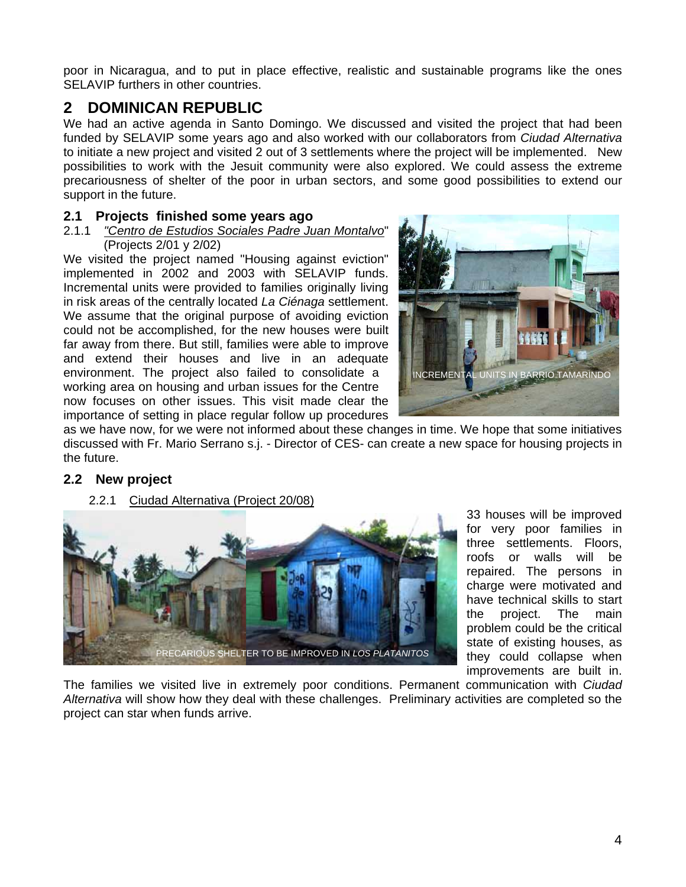poor in Nicaragua, and to put in place effective, realistic and sustainable programs like the ones SELAVIP furthers in other countries.

# **2 DOMINICAN REPUBLIC**

We had an active agenda in Santo Domingo. We discussed and visited the project that had been funded by SELAVIP some years ago and also worked with our collaborators from *Ciudad Alternativa*  to initiate a new project and visited 2 out of 3 settlements where the project will be implemented. New possibilities to work with the Jesuit community were also explored. We could assess the extreme precariousness of shelter of the poor in urban sectors, and some good possibilities to extend our support in the future.

### **2.1 Projects finished some years ago**

#### 2.1.1 *"Centro de Estudios Sociales Padre Juan Montalvo*" (Projects 2/01 y 2/02)

We visited the project named "Housing against eviction" implemented in 2002 and 2003 with SELAVIP funds. Incremental units were provided to families originally living in risk areas of the centrally located *La Ciénaga* settlement. We assume that the original purpose of avoiding eviction could not be accomplished, for the new houses were built far away from there. But still, families were able to improve and extend their houses and live in an adequate environment. The project also failed to consolidate a working area on housing and urban issues for the Centre now focuses on other issues. This visit made clear the importance of setting in place regular follow up procedures



as we have now, for we were not informed about these changes in time. We hope that some initiatives discussed with Fr. Mario Serrano s.j. - Director of CES- can create a new space for housing projects in the future.

## **2.2 New project**

2.2.1 Ciudad Alternativa (Project 20/08)



33 houses will be improved for very poor families in three settlements. Floors, roofs or walls will be repaired. The persons in charge were motivated and have technical skills to start the project. The main problem could be the critical state of existing houses, as they could collapse when improvements are built in.

The families we visited live in extremely poor conditions. Permanent communication with *Ciudad Alternativa* will show how they deal with these challenges. Preliminary activities are completed so the project can star when funds arrive.